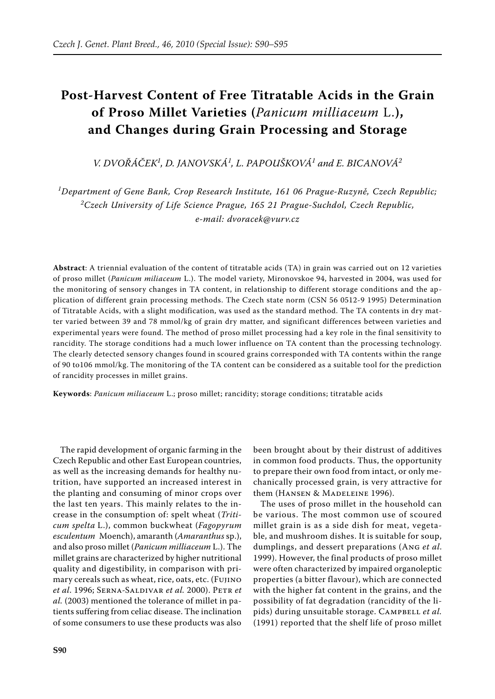## **Post-Harvest Content of Free Titratable Acids in the Grain of Proso Millet Varieties (***Panicum milliaceum* L.**), and Changes during Grain Processing and Storage**

*V. Dvořáček<sup>1</sup> , D. Janovská<sup>1</sup> , L. Papoušková<sup>1</sup> and E. Bicanová<sup>2</sup>*

*1 Department of Gene Bank, Crop Research Institute, 161 06 Prague-Ruzyně, Czech Republic; 2 Czech University of Life Science Prague, 165 21 Prague-Suchdol, Czech Republic, e-mail: dvoracek@vurv.cz*

**Abstract**: A triennial evaluation of the content of titratable acids (TA) in grain was carried out on 12 varieties of proso millet (*Panicum miliaceum* L.). The model variety, Mironovskoe 94, harvested in 2004, was used for the monitoring of sensory changes in TA content, in relationship to different storage conditions and the application of different grain processing methods. The Czech state norm (CSN 56 0512-9 1995) Determination of Titratable Acids, with a slight modification, was used as the standard method. The TA contents in dry matter varied between 39 and 78 mmol/kg of grain dry matter, and significant differences between varieties and experimental years were found. The method of proso millet processing had a key role in the final sensitivity to rancidity. The storage conditions had a much lower influence on TA content than the processing technology. The clearly detected sensory changes found in scoured grains corresponded with TA contents within the range of 90 to106 mmol/kg. The monitoring of the TA content can be considered as a suitable tool for the prediction of rancidity processes in millet grains.

**Keywords**: *Panicum miliaceum* L.; proso millet; rancidity; storage conditions; titratable acids

The rapid development of organic farming in the Czech Republic and other East European countries, as well as the increasing demands for healthy nutrition, have supported an increased interest in the planting and consuming of minor crops over the last ten years. This mainly relates to the increase in the consumption of: spelt wheat (*Triticum spelta* L.), common buckwheat (*Fagopyrum esculentum* Moench), amaranth (*Amaranthus* sp.), and also proso millet (*Panicum milliaceum* L.). The millet grains are characterized by higher nutritional quality and digestibility, in comparison with primary cereals such as wheat, rice, oats, etc. (Fujino *et al*. 1996; Serna-Saldivar *et al.* 2000). Petr *et al.* (2003) mentioned the tolerance of millet in patients suffering from celiac disease. The inclination of some consumers to use these products was also

been brought about by their distrust of additives in common food products. Thus, the opportunity to prepare their own food from intact, or only mechanically processed grain, is very attractive for them (HANSEN & MADELEINE 1996).

The uses of proso millet in the household can be various. The most common use of scoured millet grain is as a side dish for meat, vegetable, and mushroom dishes. It is suitable for soup, dumplings, and dessert preparations (Ang *et al*. 1999). However, the final products of proso millet were often characterized by impaired organoleptic properties (a bitter flavour), which are connected with the higher fat content in the grains, and the possibility of fat degradation (rancidity of the lipids) during unsuitable storage. CAMPBELL et al. (1991) reported that the shelf life of proso millet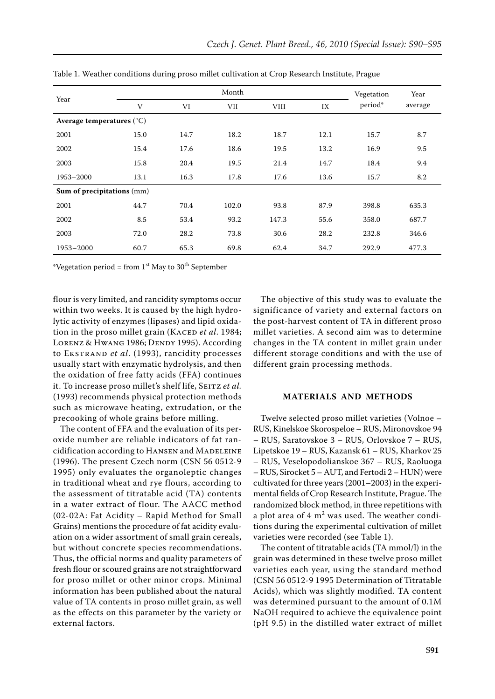| Year                               | Month |      |       |             | Vegetation | Year    |         |  |
|------------------------------------|-------|------|-------|-------------|------------|---------|---------|--|
|                                    | V     | VI   | VII   | <b>VIII</b> | IX         | period* | average |  |
| Average temperatures $(^{\circ}C)$ |       |      |       |             |            |         |         |  |
| 2001                               | 15.0  | 14.7 | 18.2  | 18.7        | 12.1       | 15.7    | 8.7     |  |
| 2002                               | 15.4  | 17.6 | 18.6  | 19.5        | 13.2       | 16.9    | 9.5     |  |
| 2003                               | 15.8  | 20.4 | 19.5  | 21.4        | 14.7       | 18.4    | 9.4     |  |
| 1953-2000                          | 13.1  | 16.3 | 17.8  | 17.6        | 13.6       | 15.7    | 8.2     |  |
| Sum of precipitations (mm)         |       |      |       |             |            |         |         |  |
| 2001                               | 44.7  | 70.4 | 102.0 | 93.8        | 87.9       | 398.8   | 635.3   |  |
| 2002                               | 8.5   | 53.4 | 93.2  | 147.3       | 55.6       | 358.0   | 687.7   |  |
| 2003                               | 72.0  | 28.2 | 73.8  | 30.6        | 28.2       | 232.8   | 346.6   |  |
| 1953-2000                          | 60.7  | 65.3 | 69.8  | 62.4        | 34.7       | 292.9   | 477.3   |  |

Table 1. Weather conditions during proso millet cultivation at Crop Research Institute, Prague

\*Vegetation period = from  $1<sup>st</sup>$  May to  $30<sup>th</sup>$  September

flour is very limited, and rancidity symptoms occur within two weeks. It is caused by the high hydrolytic activity of enzymes (lipases) and lipid oxidation in the proso millet grain (KACED et al. 1984; LORENZ & HWANG 1986; DENDY 1995). According to Ekstrand *et al*. (1993), rancidity processes usually start with enzymatic hydrolysis, and then the oxidation of free fatty acids (FFA) continues it. To increase proso millet's shelf life, SEITZ et al. (1993) recommends physical protection methods such as microwave heating, extrudation, or the precooking of whole grains before milling.

The content of FFA and the evaluation of its peroxide number are reliable indicators of fat rancidification according to HANSEN and MADELEINE (1996). The present Czech norm (CSN 56 0512-9 1995) only evaluates the organoleptic changes in traditional wheat and rye flours, according to the assessment of titratable acid (TA) contents in a water extract of flour. The AACC method (02-02A: Fat Acidity – Rapid Method for Small Grains) mentions the procedure of fat acidity evaluation on a wider assortment of small grain cereals, but without concrete species recommendations. Thus, the official norms and quality parameters of fresh flour or scoured grains are not straightforward for proso millet or other minor crops. Minimal information has been published about the natural value of TA contents in proso millet grain, as well as the effects on this parameter by the variety or external factors.

The objective of this study was to evaluate the significance of variety and external factors on the post-harvest content of TA in different proso millet varieties. A second aim was to determine changes in the TA content in millet grain under different storage conditions and with the use of different grain processing methods.

## **Materials and Methods**

Twelve selected proso millet varieties (Volnoe – RUS, Kinelskoe Skorospeloe – RUS, Mironovskoe 94 – RUS, Saratovskoe 3 – RUS, Orlovskoe 7 – RUS, Lipetskoe 19 – RUS, Kazansk 61 – RUS, Kharkov 25 – RUS, Veselopodolianskoe 367 – RUS, Raoluoga – RUS, Sirocket 5 – AUT, and Fertodi 2 – HUN) were cultivated for three years (2001–2003) in the experimental fields of Crop Research Institute, Prague. The randomized block method, in three repetitions with a plot area of  $4 \text{ m}^2$  was used. The weather conditions during the experimental cultivation of millet varieties were recorded (see Table 1).

The content of titratable acids (TA mmol/l) in the grain was determined in these twelve proso millet varieties each year, using the standard method (CSN 56 0512-9 1995 Determination of Titratable Acids), which was slightly modified. TA content was determined pursuant to the amount of 0.1M NaOH required to achieve the equivalence point (pH 9.5) in the distilled water extract of millet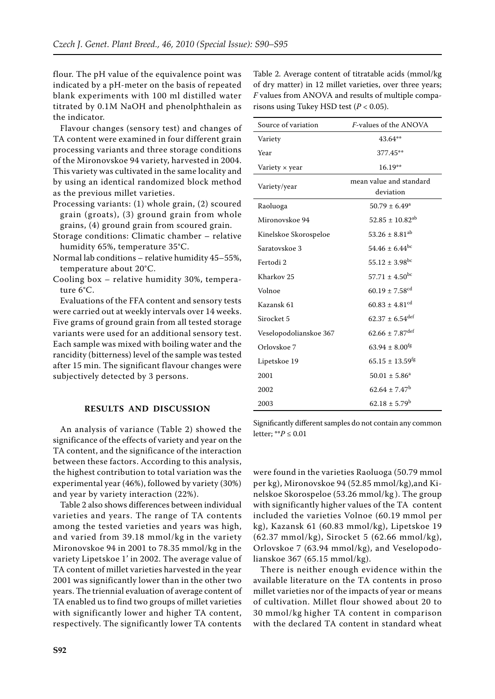flour. The pH value of the equivalence point was indicated by a pH-meter on the basis of repeated blank experiments with 100 ml distilled water titrated by 0.1M NaOH and phenolphthalein as the indicator.

Flavour changes (sensory test) and changes of TA content were examined in four different grain processing variants and three storage conditions of the Mironovskoe 94 variety, harvested in 2004. This variety was cultivated in the same locality and by using an identical randomized block method as the previous millet varieties.

- Processing variants: (1) whole grain, (2) scoured grain (groats), (3) ground grain from whole grains, (4) ground grain from scoured grain.
- Storage conditions: Climatic chamber relative humidity 65%, temperature 35°C.
- Normal lab conditions relative humidity 45–55%, temperature about 20°C.
- Cooling box relative humidity 30%, temperature 6°C.

Evaluations of the FFA content and sensory tests were carried out at weekly intervals over 14 weeks. Five grams of ground grain from all tested storage variants were used for an additional sensory test. Each sample was mixed with boiling water and the rancidity (bitterness) level of the sample was tested after 15 min. The significant flavour changes were subjectively detected by 3 persons.

## **Results and Discussion**

An analysis of variance (Table 2) showed the significance of the effects of variety and year on the TA content, and the significance of the interaction between these factors. According to this analysis, the highest contribution to total variation was the experimental year (46%), followed by variety (30%) and year by variety interaction (22%).

Table 2 also shows differences between individual varieties and years. The range of TA contents among the tested varieties and years was high, and varied from 39.18 mmol/kg in the variety Mironovskoe 94 in 2001 to 78.35 mmol/kg in the variety Lipetskoe 1' in 2002. The average value of TA content of millet varieties harvested in the year 2001 was significantly lower than in the other two years. The triennial evaluation of average content of TA enabled us to find two groups of millet varieties with significantly lower and higher TA content, respectively. The significantly lower TA contents

Table 2. Average content of titratable acids (mmol/kg of dry matter) in 12 millet varieties, over three years; *F* values from ANOVA and results of multiple comparisons using Tukey HSD test  $(P < 0.05)$ .

| Source of variation    | <i>F</i> -values of the ANOVA        |  |  |  |
|------------------------|--------------------------------------|--|--|--|
| Variety                | 43.64**                              |  |  |  |
| Year                   | 377.45**                             |  |  |  |
| Variety $\times$ year  | $16.19**$                            |  |  |  |
| Variety/year           | mean value and standard<br>deviation |  |  |  |
| Raoluoga               | $50.79 \pm 6.49^{\circ}$             |  |  |  |
| Mironovskoe 94         | $52.85 \pm 10.82^{ab}$               |  |  |  |
| Kinelskoe Skorospeloe  | $53.26 \pm 8.81$ <sup>ab</sup>       |  |  |  |
| Saratovskoe 3          | $54.46 \pm 6.44^{bc}$                |  |  |  |
| Fertodi 2              | $55.12 \pm 3.98$ <sup>bc</sup>       |  |  |  |
| Kharkov <sub>25</sub>  | $57.71 \pm 4.50$ <sup>bc</sup>       |  |  |  |
| Volnoe                 | $60.19 \pm 7.58$ <sup>cd</sup>       |  |  |  |
| Kazansk 61             | $60.83 \pm 4.81$ <sup>cd</sup>       |  |  |  |
| Sirocket 5             | $62.37 \pm 6.54$ <sup>def</sup>      |  |  |  |
| Veselopodolianskoe 367 | $62.66 \pm 7.87$ <sup>def</sup>      |  |  |  |
| Orlovskoe 7            | $63.94 \pm 8.00$ <sup>fg</sup>       |  |  |  |
| Lipetskoe 19           | $65.15 \pm 13.59$ <sup>fg</sup>      |  |  |  |
| 2001                   | $50.01 \pm 5.86^a$                   |  |  |  |
| 2002                   | $62.64 \pm 7.47$ <sup>b</sup>        |  |  |  |
| 2003                   | $62.18 \pm 5.79^b$                   |  |  |  |

Significantly different samples do not contain any common letter; \*\**P* ≤ 0.01

were found in the varieties Raoluoga (50.79 mmol per kg), Mironovskoe 94 (52.85 mmol/kg),and Kinelskoe Skorospeloe (53.26 mmol/kg ). The group with significantly higher values of the TA content included the varieties Volnoe (60.19 mmol per kg), Kazansk 61 (60.83 mmol/kg), Lipetskoe 19 (62.37 mmol/kg), Sirocket 5 (62.66 mmol/kg), Orlovskoe 7 (63.94 mmol/kg), and Veselopodolianskoe 367 (65.15 mmol/kg).

There is neither enough evidence within the available literature on the TA contents in proso millet varieties nor of the impacts of year or means of cultivation. Millet flour showed about 20 to 30 mmol/kg higher TA content in comparison with the declared TA content in standard wheat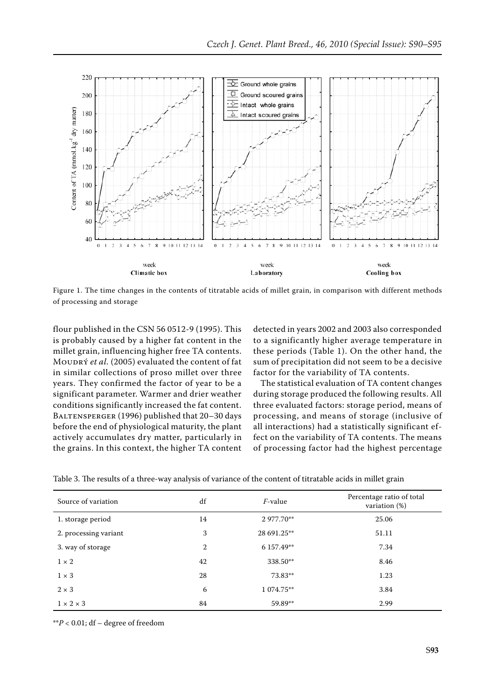

Figure 1. The time changes in the contents of titratable acids of millet grain, in comparison with different methods of processing and storage

flour published in the CSN 56 0512-9 (1995). This is probably caused by a higher fat content in the millet grain, influencing higher free TA contents. MOUDRÝ et al. (2005) evaluated the content of fat in similar collections of proso millet over three years. They confirmed the factor of year to be a significant parameter. Warmer and drier weather conditions significantly increased the fat content. BALTENSPERGER (1996) published that 20-30 days before the end of physiological maturity, the plant actively accumulates dry matter, particularly in the grains. In this context, the higher TA content

detected in years 2002 and 2003 also corresponded to a significantly higher average temperature in these periods (Table 1). On the other hand, the sum of precipitation did not seem to be a decisive factor for the variability of TA contents.

The statistical evaluation of TA content changes during storage produced the following results. All three evaluated factors: storage period, means of processing, and means of storage (inclusive of all interactions) had a statistically significant effect on the variability of TA contents. The means of processing factor had the highest percentage

| Source of variation   | df | <i>F</i> -value | Percentage ratio of total<br>variation $(\%)$ |  |
|-----------------------|----|-----------------|-----------------------------------------------|--|
| 1. storage period     | 14 | 2977.70**       | 25.06                                         |  |
| 2. processing variant | 3  | 28 691.25**     | 51.11                                         |  |
| 3. way of storage     | 2  | 6 157.49**      | 7.34                                          |  |
| $1 \times 2$          | 42 | 338.50**        | 8.46                                          |  |
| $1 \times 3$          | 28 | 73.83**         | 1.23                                          |  |
| $2 \times 3$          | 6  | 1 074.75**      | 3.84                                          |  |
| $1 \times 2 \times 3$ | 84 | 59.89**         | 2.99                                          |  |

Table 3. The results of a three-way analysis of variance of the content of titratable acids in millet grain

\*\**P* < 0.01; df – degree of freedom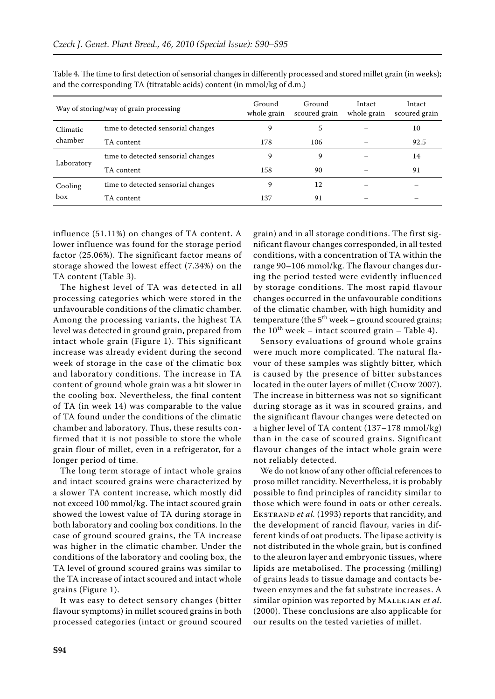| Way of storing/way of grain processing |                                    | Ground<br>whole grain | Ground<br>scoured grain | Intact<br>whole grain | Intact<br>scoured grain |
|----------------------------------------|------------------------------------|-----------------------|-------------------------|-----------------------|-------------------------|
| Climatic<br>chamber                    | time to detected sensorial changes | 9                     | 5                       |                       | 10                      |
|                                        | TA content                         | 178                   | 106                     |                       | 92.5                    |
| Laboratory                             | time to detected sensorial changes | 9                     | 9                       |                       | 14                      |
|                                        | TA content                         | 158                   | 90                      |                       | 91                      |
| Cooling<br>box                         | time to detected sensorial changes | 9                     | 12                      |                       |                         |
|                                        | TA content                         | 137                   | 91                      |                       |                         |

Table 4. The time to first detection of sensorial changes in differently processed and stored millet grain (in weeks); and the corresponding TA (titratable acids) content (in mmol/kg of d.m.)

influence (51.11%) on changes of TA content. A lower influence was found for the storage period factor (25.06%). The significant factor means of storage showed the lowest effect (7.34%) on the TA content (Table 3).

The highest level of TA was detected in all processing categories which were stored in the unfavourable conditions of the climatic chamber. Among the processing variants, the highest TA level was detected in ground grain, prepared from intact whole grain (Figure 1). This significant increase was already evident during the second week of storage in the case of the climatic box and laboratory conditions. The increase in TA content of ground whole grain was a bit slower in the cooling box. Nevertheless, the final content of TA (in week 14) was comparable to the value of TA found under the conditions of the climatic chamber and laboratory. Thus, these results confirmed that it is not possible to store the whole grain flour of millet, even in a refrigerator, for a longer period of time.

The long term storage of intact whole grains and intact scoured grains were characterized by a slower TA content increase, which mostly did not exceed 100 mmol/kg. The intact scoured grain showed the lowest value of TA during storage in both laboratory and cooling box conditions. In the case of ground scoured grains, the TA increase was higher in the climatic chamber. Under the conditions of the laboratory and cooling box, the TA level of ground scoured grains was similar to the TA increase of intact scoured and intact whole grains (Figure 1).

It was easy to detect sensory changes (bitter flavour symptoms) in millet scoured grains in both processed categories (intact or ground scoured grain) and in all storage conditions. The first significant flavour changes corresponded, in all tested conditions, with a concentration of TA within the range 90–106 mmol/kg. The flavour changes during the period tested were evidently influenced by storage conditions. The most rapid flavour changes occurred in the unfavourable conditions of the climatic chamber, with high humidity and temperature (the  $5<sup>th</sup>$  week – ground scoured grains; the  $10^{th}$  week – intact scoured grain – Table 4).

Sensory evaluations of ground whole grains were much more complicated. The natural flavour of these samples was slightly bitter, which is caused by the presence of bitter substances located in the outer layers of millet (Сноw 2007). The increase in bitterness was not so significant during storage as it was in scoured grains, and the significant flavour changes were detected on a higher level of TA content (137–178 mmol/kg) than in the case of scoured grains. Significant flavour changes of the intact whole grain were not reliably detected.

We do not know of any other official references to proso millet rancidity. Nevertheless, it is probably possible to find principles of rancidity similar to those which were found in oats or other cereals. Ekstrand *et al.* (1993) reports that rancidity, and the development of rancid flavour, varies in different kinds of oat products. The lipase activity is not distributed in the whole grain, but is confined to the aleuron layer and embryonic tissues, where lipids are metabolised. The processing (milling) of grains leads to tissue damage and contacts between enzymes and the fat substrate increases. A similar opinion was reported by Malekian *et al*. (2000). These conclusions are also applicable for our results on the tested varieties of millet.